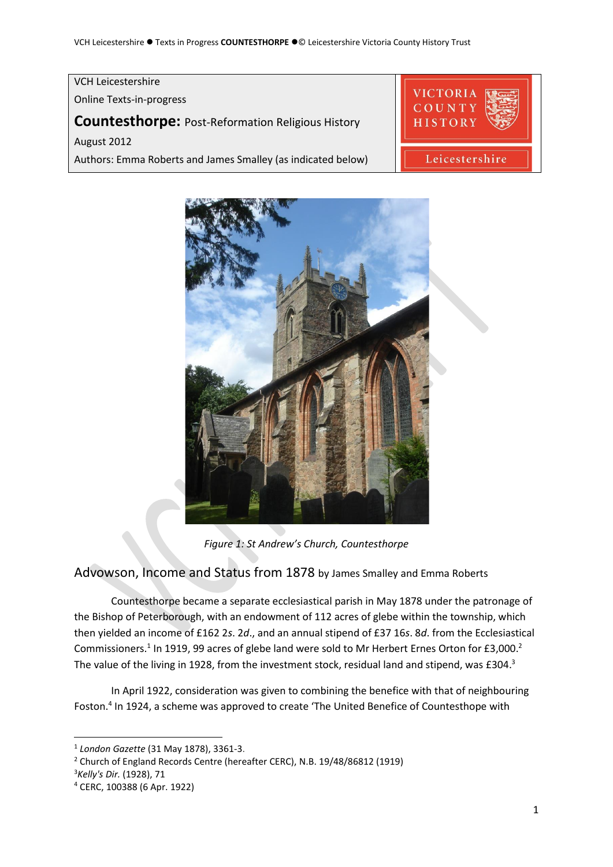## VCH Leicestershire **VICTORIA** Online Texts-in-progress **Countesthorpe:** Post-Reformation Religious History HISTORY August 2012 Leicestershire Authors: Emma Roberts and James Smalley (as indicated below)



*Figure 1: St Andrew's Church, Countesthorpe*

# Advowson, Income and Status from 1878 by James Smalley and Emma Roberts

Countesthorpe became a separate ecclesiastical parish in May 1878 under the patronage of the Bishop of Peterborough, with an endowment of 112 acres of glebe within the township, which then yielded an income of £162 2*s*. 2*d*., and an annual stipend of £37 16*s*. 8*d*. from the Ecclesiastical Commissioners.<sup>1</sup> In 1919, 99 acres of glebe land were sold to Mr Herbert Ernes Orton for £3,000.<sup>2</sup> The value of the living in 1928, from the investment stock, residual land and stipend, was £304.<sup>3</sup>

In April 1922, consideration was given to combining the benefice with that of neighbouring Foston.<sup>4</sup> In 1924, a scheme was approved to create 'The United Benefice of Countesthope with

<sup>1</sup> *London Gazette* (31 May 1878), 3361-3.

<sup>&</sup>lt;sup>2</sup> Church of England Records Centre (hereafter CERC), N.B. 19/48/86812 (1919)

<sup>3</sup>*Kelly's Dir.* (1928), 71

<sup>4</sup> CERC, 100388 (6 Apr. 1922)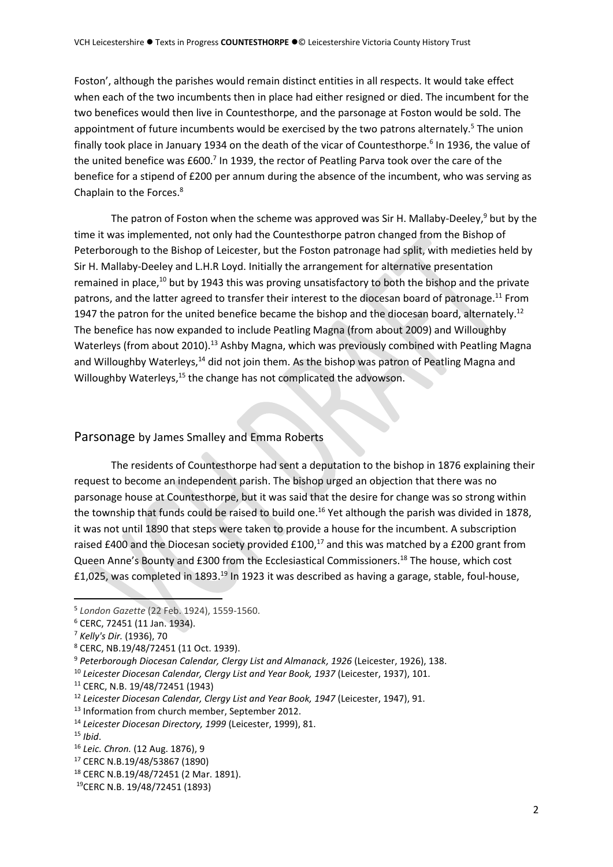Foston', although the parishes would remain distinct entities in all respects. It would take effect when each of the two incumbents then in place had either resigned or died. The incumbent for the two benefices would then live in Countesthorpe, and the parsonage at Foston would be sold. The appointment of future incumbents would be exercised by the two patrons alternately.<sup>5</sup> The union finally took place in January 1934 on the death of the vicar of Countesthorpe.<sup>6</sup> In 1936, the value of the united benefice was  $£600<sup>7</sup>$  In 1939, the rector of Peatling Parva took over the care of the benefice for a stipend of £200 per annum during the absence of the incumbent, who was serving as Chaplain to the Forces.<sup>8</sup>

The patron of Foston when the scheme was approved was Sir H. Mallaby-Deeley,<sup>9</sup> but by the time it was implemented, not only had the Countesthorpe patron changed from the Bishop of Peterborough to the Bishop of Leicester, but the Foston patronage had split, with medieties held by Sir H. Mallaby-Deeley and L.H.R Loyd. Initially the arrangement for alternative presentation remained in place,<sup>10</sup> but by 1943 this was proving unsatisfactory to both the bishop and the private patrons, and the latter agreed to transfer their interest to the diocesan board of patronage.<sup>11</sup> From 1947 the patron for the united benefice became the bishop and the diocesan board, alternately.<sup>12</sup> The benefice has now expanded to include Peatling Magna (from about 2009) and Willoughby Waterleys (from about 2010).<sup>13</sup> Ashby Magna, which was previously combined with Peatling Magna and Willoughby Waterleys,<sup>14</sup> did not join them. As the bishop was patron of Peatling Magna and Willoughby Waterleys,<sup>15</sup> the change has not complicated the advowson.

# Parsonage by James Smalley and Emma Roberts

The residents of Countesthorpe had sent a deputation to the bishop in 1876 explaining their request to become an independent parish. The bishop urged an objection that there was no parsonage house at Countesthorpe, but it was said that the desire for change was so strong within the township that funds could be raised to build one.<sup>16</sup> Yet although the parish was divided in 1878, it was not until 1890 that steps were taken to provide a house for the incumbent. A subscription raised £400 and the Diocesan society provided £100,<sup>17</sup> and this was matched by a £200 grant from Queen Anne's Bounty and £300 from the Ecclesiastical Commissioners.<sup>18</sup> The house, which cost £1,025, was completed in 1893.<sup>19</sup> In 1923 it was described as having a garage, stable, foul-house,

<sup>5</sup> *London Gazette* (22 Feb. 1924), 1559-1560.

<sup>6</sup> CERC, 72451 (11 Jan. 1934).

<sup>7</sup> *Kelly's Dir.* (1936), 70

<sup>8</sup> CERC, NB.19/48/72451 (11 Oct. 1939).

<sup>9</sup> *Peterborough Diocesan Calendar, Clergy List and Almanack, 1926* (Leicester, 1926), 138.

<sup>10</sup> *Leicester Diocesan Calendar, Clergy List and Year Book, 1937* (Leicester, 1937), 101.

<sup>11</sup> CERC, N.B. 19/48/72451 (1943)

<sup>12</sup> *Leicester Diocesan Calendar, Clergy List and Year Book, 1947* (Leicester, 1947), 91.

<sup>&</sup>lt;sup>13</sup> Information from church member, September 2012.

<sup>14</sup> *Leicester Diocesan Directory, 1999* (Leicester, 1999), 81.

<sup>15</sup> *Ibid*.

<sup>16</sup> *Leic. Chron.* (12 Aug. 1876), 9

<sup>17</sup> CERC N.B.19/48/53867 (1890)

<sup>18</sup> CERC N.B.19/48/72451 (2 Mar. 1891).

<sup>19</sup>CERC N.B. 19/48/72451 (1893)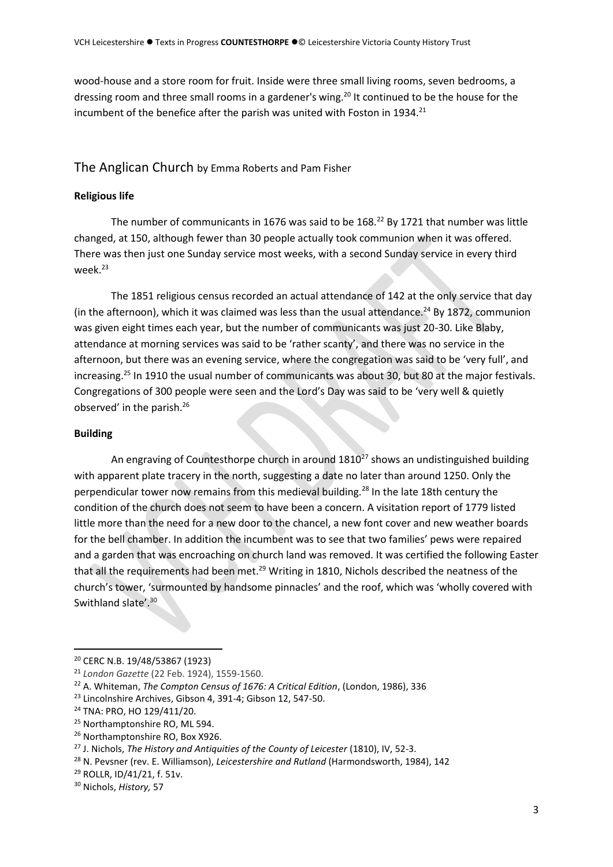wood-house and a store room for fruit. Inside were three small living rooms, seven bedrooms, a dressing room and three small rooms in a gardener's wing.<sup>20</sup> It continued to be the house for the incumbent of the benefice after the parish was united with Foston in 1934.<sup>21</sup>

## The Anglican Church by Emma Roberts and Pam Fisher

## **Religious life**

The number of communicants in 1676 was said to be 168.<sup>22</sup> By 1721 that number was little changed, at 150, although fewer than 30 people actually took communion when it was offered. There was then just one Sunday service most weeks, with a second Sunday service in every third week.<sup>23</sup>

The 1851 religious census recorded an actual attendance of 142 at the only service that day (in the afternoon), which it was claimed was less than the usual attendance.<sup>24</sup> By 1872, communion was given eight times each year, but the number of communicants was just 20-30. Like Blaby, attendance at morning services was said to be 'rather scanty', and there was no service in the afternoon, but there was an evening service, where the congregation was said to be 'very full', and increasing.<sup>25</sup> In 1910 the usual number of communicants was about 30, but 80 at the major festivals. Congregations of 300 people were seen and the Lord's Day was said to be 'very well & quietly observed' in the parish.<sup>26</sup>

#### **Building**

An engraving of Countesthorpe church in around  $1810<sup>27</sup>$  shows an undistinguished building with apparent plate tracery in the north, suggesting a date no later than around 1250. Only the perpendicular tower now remains from this medieval building.<sup>28</sup> In the late 18th century the condition of the church does not seem to have been a concern. A visitation report of 1779 listed little more than the need for a new door to the chancel, a new font cover and new weather boards for the bell chamber. In addition the incumbent was to see that two families' pews were repaired and a garden that was encroaching on church land was removed. It was certified the following Easter that all the requirements had been met.<sup>29</sup> Writing in 1810, Nichols described the neatness of the church's tower, 'surmounted by handsome pinnacles' and the roof, which was 'wholly covered with Swithland slate'.<sup>30</sup>

<sup>20</sup> CERC N.B. 19/48/53867 (1923)

<sup>21</sup> *London Gazette* (22 Feb. 1924), 1559-1560.

<sup>22</sup> A. Whiteman, *The Compton Census of 1676: A Critical Edition*, (London, 1986), 336

<sup>&</sup>lt;sup>23</sup> Lincolnshire Archives, Gibson 4, 391-4; Gibson 12, 547-50.

<sup>24</sup> TNA: PRO, HO 129/411/20.

<sup>25</sup> Northamptonshire RO, ML 594.

<sup>26</sup> Northamptonshire RO, Box X926.

<sup>27</sup> J. Nichols, *The History and Antiquities of the County of Leicester* (1810), IV, 52-3.

<sup>28</sup> N. Pevsner (rev. E. Williamson), *Leicestershire and Rutland* (Harmondsworth, 1984), 142

<sup>29</sup> ROLLR, ID/41/21, f. 51v.

<sup>30</sup> Nichols, *History,* 57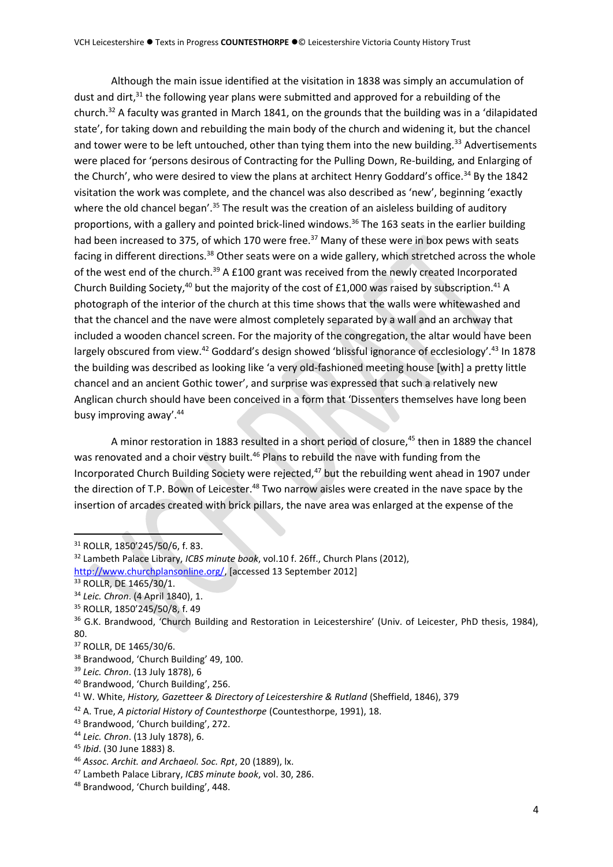Although the main issue identified at the visitation in 1838 was simply an accumulation of dust and dirt, $31$  the following year plans were submitted and approved for a rebuilding of the church.<sup>32</sup> A faculty was granted in March 1841, on the grounds that the building was in a 'dilapidated state', for taking down and rebuilding the main body of the church and widening it, but the chancel and tower were to be left untouched, other than tying them into the new building.<sup>33</sup> Advertisements were placed for 'persons desirous of Contracting for the Pulling Down, Re-building, and Enlarging of the Church', who were desired to view the plans at architect Henry Goddard's office.<sup>34</sup> By the 1842 visitation the work was complete, and the chancel was also described as 'new', beginning 'exactly where the old chancel began'.<sup>35</sup> The result was the creation of an aisleless building of auditory proportions, with a gallery and pointed brick-lined windows.<sup>36</sup> The 163 seats in the earlier building had been increased to 375, of which 170 were free.<sup>37</sup> Many of these were in box pews with seats facing in different directions.<sup>38</sup> Other seats were on a wide gallery, which stretched across the whole of the west end of the church.<sup>39</sup> A £100 grant was received from the newly created Incorporated Church Building Society,<sup>40</sup> but the majority of the cost of £1,000 was raised by subscription.<sup>41</sup> A photograph of the interior of the church at this time shows that the walls were whitewashed and that the chancel and the nave were almost completely separated by a wall and an archway that included a wooden chancel screen. For the majority of the congregation, the altar would have been largely obscured from view.<sup>42</sup> Goddard's design showed 'blissful ignorance of ecclesiology'.<sup>43</sup> In 1878 the building was described as looking like 'a very old-fashioned meeting house [with] a pretty little chancel and an ancient Gothic tower', and surprise was expressed that such a relatively new Anglican church should have been conceived in a form that 'Dissenters themselves have long been busy improving away'.<sup>44</sup>

A minor restoration in 1883 resulted in a short period of closure,<sup>45</sup> then in 1889 the chancel was renovated and a choir vestry built.<sup>46</sup> Plans to rebuild the nave with funding from the Incorporated Church Building Society were rejected,<sup>47</sup> but the rebuilding went ahead in 1907 under the direction of T.P. Bown of Leicester.<sup>48</sup> Two narrow aisles were created in the nave space by the insertion of arcades created with brick pillars, the nave area was enlarged at the expense of the

- <sup>34</sup> *Leic. Chron*. (4 April 1840), 1.
- <sup>35</sup> ROLLR, 1850'245/50/8, f. 49

<sup>38</sup> Brandwood, 'Church Building' 49, 100.

<sup>40</sup> Brandwood, 'Church Building', 256.

<sup>31</sup> ROLLR, 1850'245/50/6, f. 83.

<sup>32</sup> Lambeth Palace Library, *ICBS minute book*, vol.10 f. 26ff., Church Plans (2012),

[http://www.churchplansonline.org/,](http://www.churchplansonline.org/) [accessed 13 September 2012]

<sup>33</sup> ROLLR, DE 1465/30/1.

<sup>&</sup>lt;sup>36</sup> G.K. Brandwood, 'Church Building and Restoration in Leicestershire' (Univ. of Leicester, PhD thesis, 1984), 80.

<sup>37</sup> ROLLR, DE 1465/30/6.

<sup>39</sup> *Leic. Chron*. (13 July 1878), 6

<sup>41</sup> W. White, *History, Gazetteer & Directory of Leicestershire & Rutland* (Sheffield, 1846), 379

<sup>42</sup> A. True, *A pictorial History of Countesthorpe* (Countesthorpe, 1991), 18.

<sup>43</sup> Brandwood, 'Church building', 272.

<sup>44</sup> *Leic. Chron*. (13 July 1878), 6.

<sup>45</sup> *Ibid*. (30 June 1883) 8.

<sup>46</sup> *Assoc. Archit. and Archaeol. Soc. Rpt*, 20 (1889), lx.

<sup>47</sup> Lambeth Palace Library, *ICBS minute book*, vol. 30, 286.

<sup>48</sup> Brandwood, 'Church building', 448.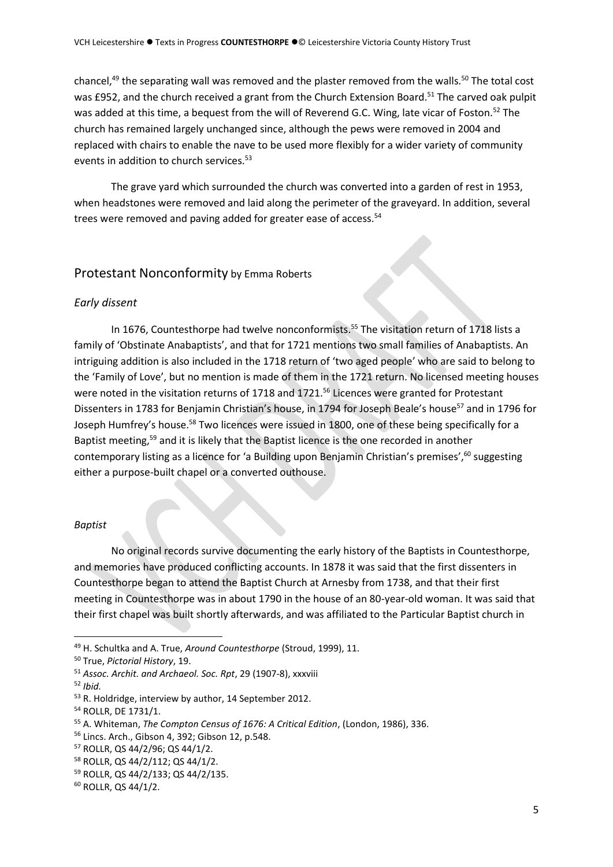chancel,<sup>49</sup> the separating wall was removed and the plaster removed from the walls.<sup>50</sup> The total cost was £952, and the church received a grant from the Church Extension Board.<sup>51</sup> The carved oak pulpit was added at this time, a bequest from the will of Reverend G.C. Wing, late vicar of Foston.<sup>52</sup> The church has remained largely unchanged since, although the pews were removed in 2004 and replaced with chairs to enable the nave to be used more flexibly for a wider variety of community events in addition to church services.<sup>53</sup>

The grave yard which surrounded the church was converted into a garden of rest in 1953, when headstones were removed and laid along the perimeter of the graveyard. In addition, several trees were removed and paving added for greater ease of access.<sup>54</sup>

## Protestant Nonconformity by Emma Roberts

### *Early dissent*

In 1676, Countesthorpe had twelve nonconformists. <sup>55</sup> The visitation return of 1718 lists a family of 'Obstinate Anabaptists', and that for 1721 mentions two small families of Anabaptists. An intriguing addition is also included in the 1718 return of 'two aged people' who are said to belong to the 'Family of Love', but no mention is made of them in the 1721 return. No licensed meeting houses were noted in the visitation returns of 1718 and 1721.<sup>56</sup> Licences were granted for Protestant Dissenters in 1783 for Benjamin Christian's house, in 1794 for Joseph Beale's house<sup>57</sup> and in 1796 for Joseph Humfrey's house.<sup>58</sup> Two licences were issued in 1800, one of these being specifically for a Baptist meeting,<sup>59</sup> and it is likely that the Baptist licence is the one recorded in another contemporary listing as a licence for 'a Building upon Benjamin Christian's premises',<sup>60</sup> suggesting either a purpose-built chapel or a converted outhouse.

### *Baptist*

No original records survive documenting the early history of the Baptists in Countesthorpe, and memories have produced conflicting accounts. In 1878 it was said that the first dissenters in Countesthorpe began to attend the Baptist Church at Arnesby from 1738, and that their first meeting in Countesthorpe was in about 1790 in the house of an 80-year-old woman. It was said that their first chapel was built shortly afterwards, and was affiliated to the Particular Baptist church in

<sup>57</sup> ROLLR, QS 44/2/96; QS 44/1/2.

<sup>49</sup> H. Schultka and A. True, *Around Countesthorpe* (Stroud, 1999), 11.

<sup>50</sup> True, *Pictorial History*, 19.

<sup>51</sup> *Assoc. Archit. and Archaeol. Soc. Rpt*, 29 (1907-8), xxxviii

<sup>52</sup> *Ibid.*

<sup>53</sup> R. Holdridge, interview by author, 14 September 2012.

<sup>54</sup> ROLLR, DE 1731/1.

<sup>55</sup> A. Whiteman, *The Compton Census of 1676: A Critical Edition*, (London, 1986), 336.

<sup>56</sup> Lincs. Arch., Gibson 4, 392; Gibson 12, p.548.

<sup>58</sup> ROLLR, QS 44/2/112; QS 44/1/2.

<sup>59</sup> ROLLR, QS 44/2/133; QS 44/2/135.

<sup>60</sup> ROLLR, QS 44/1/2.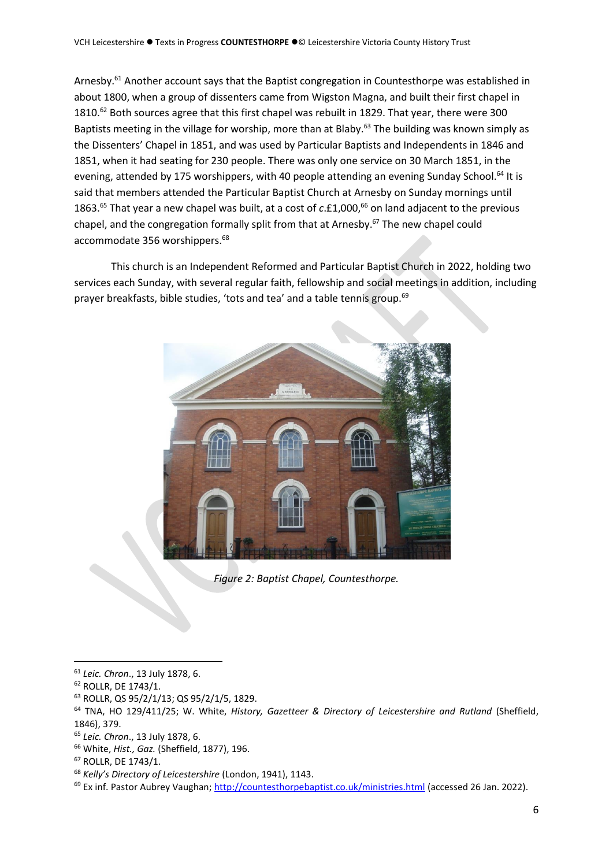Arnesby.<sup>61</sup> Another account says that the Baptist congregation in Countesthorpe was established in about 1800, when a group of dissenters came from Wigston Magna, and built their first chapel in  $1810.<sup>62</sup>$  Both sources agree that this first chapel was rebuilt in 1829. That year, there were 300 Baptists meeting in the village for worship, more than at Blaby.<sup>63</sup> The building was known simply as the Dissenters' Chapel in 1851, and was used by Particular Baptists and Independents in 1846 and 1851, when it had seating for 230 people. There was only one service on 30 March 1851, in the evening, attended by 175 worshippers, with 40 people attending an evening Sunday School.<sup>64</sup> It is said that members attended the Particular Baptist Church at Arnesby on Sunday mornings until 1863.<sup>65</sup> That year a new chapel was built, at a cost of c.£1,000,<sup>66</sup> on land adjacent to the previous chapel, and the congregation formally split from that at Arnesby. <sup>67</sup> The new chapel could accommodate 356 worshippers.<sup>68</sup>

This church is an Independent Reformed and Particular Baptist Church in 2022, holding two services each Sunday, with several regular faith, fellowship and social meetings in addition, including prayer breakfasts, bible studies, 'tots and tea' and a table tennis group.<sup>69</sup>



*Figure 2: Baptist Chapel, Countesthorpe.*

<sup>61</sup> *Leic. Chron*., 13 July 1878, 6.

<sup>62</sup> ROLLR, DE 1743/1.

<sup>63</sup> ROLLR, QS 95/2/1/13; QS 95/2/1/5, 1829.

<sup>64</sup> TNA, HO 129/411/25; W. White, *History, Gazetteer & Directory of Leicestershire and Rutland* (Sheffield, 1846), 379.

<sup>65</sup> *Leic. Chron*., 13 July 1878, 6.

<sup>66</sup> White, *Hist., Gaz.* (Sheffield, 1877), 196.

<sup>67</sup> ROLLR, DE 1743/1.

<sup>68</sup> *Kelly's Directory of Leicestershire* (London, 1941), 1143.

<sup>&</sup>lt;sup>69</sup> Ex inf. Pastor Aubrey Vaughan;<http://countesthorpebaptist.co.uk/ministries.html> (accessed 26 Jan. 2022).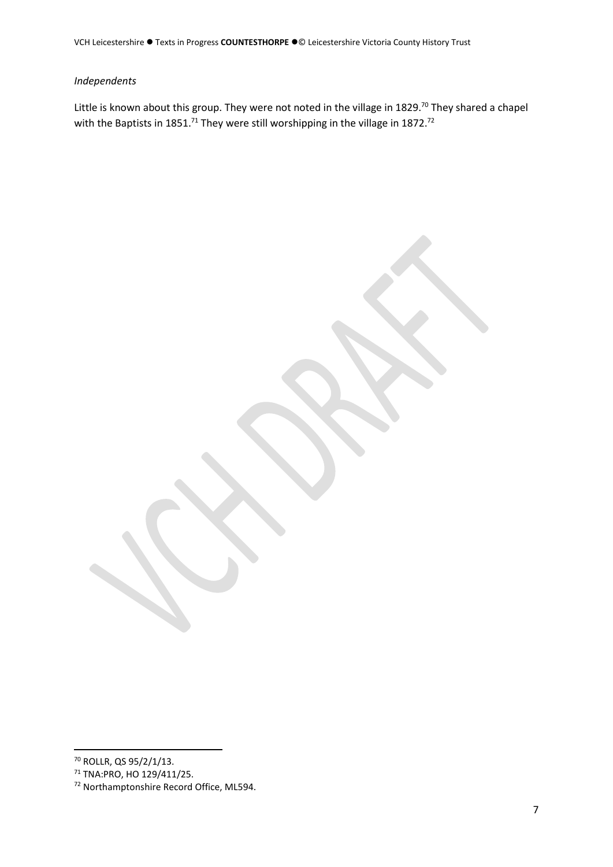## *Independents*

Little is known about this group. They were not noted in the village in 1829.<sup>70</sup> They shared a chapel with the Baptists in 1851.<sup>71</sup> They were still worshipping in the village in 1872.<sup>72</sup>

<sup>70</sup> ROLLR, QS 95/2/1/13.

<sup>71</sup> TNA:PRO, HO 129/411/25.

<sup>72</sup> Northamptonshire Record Office, ML594.